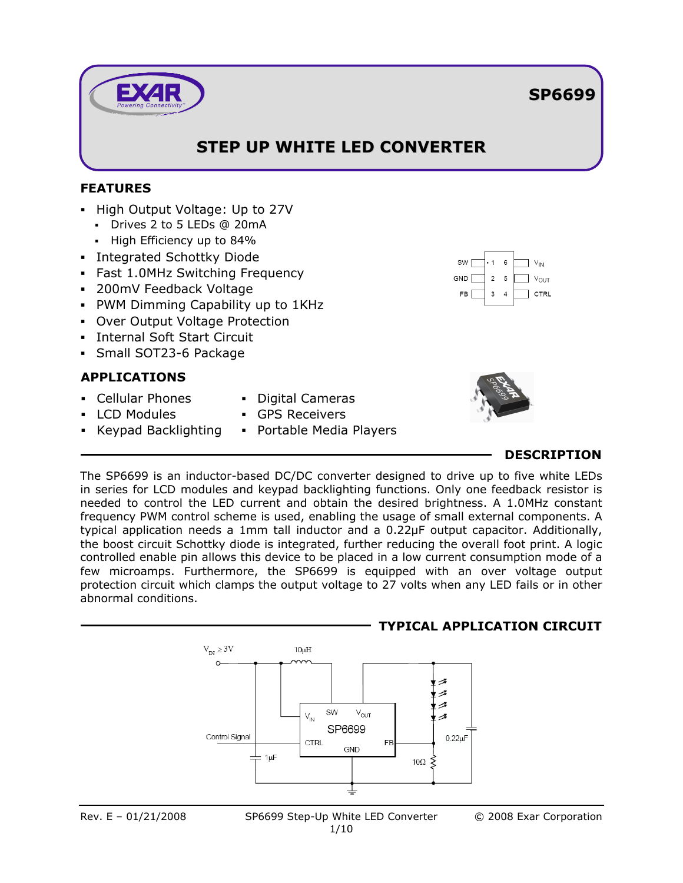# **STEP UP WHITE LED CONVERTER**

## **FEATURES**

- High Output Voltage: Up to 27V
	- Drives 2 to 5 LEDs @ 20mA
	- **High Efficiency up to 84%**
- **Integrated Schottky Diode**
- Fast 1.0MHz Switching Frequency
- 200mV Feedback Voltage
- PWM Dimming Capability up to 1KHz
- Over Output Voltage Protection
- Internal Soft Start Circuit
- Small SOT23-6 Package

## **APPLICATIONS**

- Cellular Phones
- **LCD Modules**
- Keypad Backlighting
- Digital Cameras
- GPS Receivers
- **•** Portable Media Players



## **DESCRIPTION**

The SP6699 is an inductor-based DC/DC converter designed to drive up to five white LEDs in series for LCD modules and keypad backlighting functions. Only one feedback resistor is needed to control the LED current and obtain the desired brightness. A 1.0MHz constant frequency PWM control scheme is used, enabling the usage of small external components. A typical application needs a 1mm tall inductor and a 0.22μF output capacitor. Additionally, the boost circuit Schottky diode is integrated, further reducing the overall foot print. A logic controlled enable pin allows this device to be placed in a low current consumption mode of a few microamps. Furthermore, the SP6699 is equipped with an over voltage output protection circuit which clamps the output voltage to 27 volts when any LED fails or in other abnormal conditions.





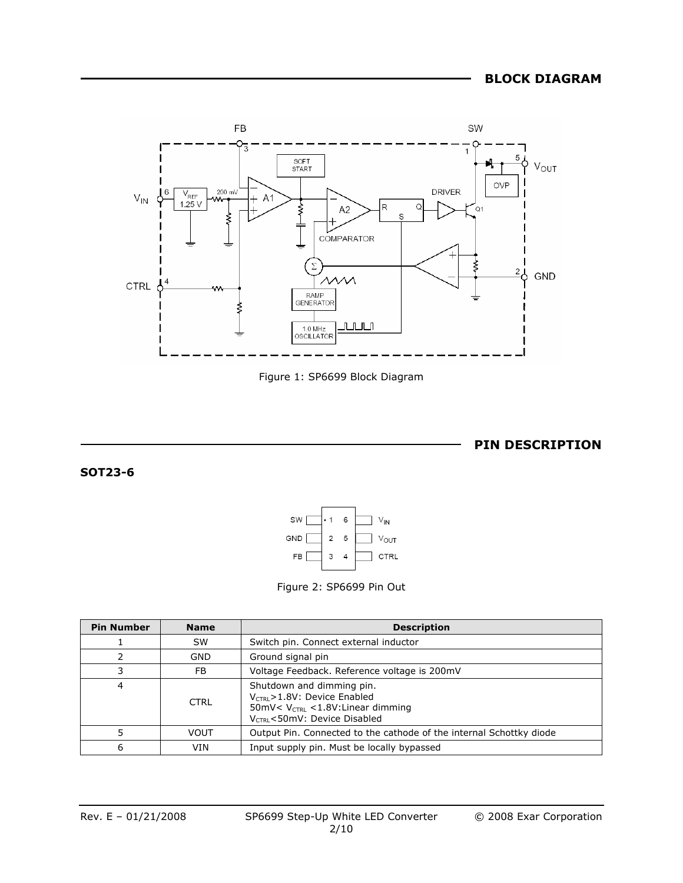



**PIN DESCRIPTION**

**SOT23-6** 





| <b>Pin Number</b> | <b>Name</b> | <b>Description</b>                                                                                                                              |  |  |  |
|-------------------|-------------|-------------------------------------------------------------------------------------------------------------------------------------------------|--|--|--|
|                   | <b>SW</b>   | Switch pin. Connect external inductor                                                                                                           |  |  |  |
|                   | GND         | Ground signal pin                                                                                                                               |  |  |  |
|                   | FB.         | Voltage Feedback. Reference voltage is 200mV                                                                                                    |  |  |  |
| 4                 | <b>CTRL</b> | Shutdown and dimming pin.<br>$V_{CTRI}$ > 1.8V: Device Enabled<br>50mV< $V_{CTRL}$ < 1.8V: Linear dimming<br>$V_{CTRI}$ < 50mV: Device Disabled |  |  |  |
|                   | <b>VOUT</b> | Output Pin. Connected to the cathode of the internal Schottky diode                                                                             |  |  |  |
| 6                 | VIN         | Input supply pin. Must be locally bypassed                                                                                                      |  |  |  |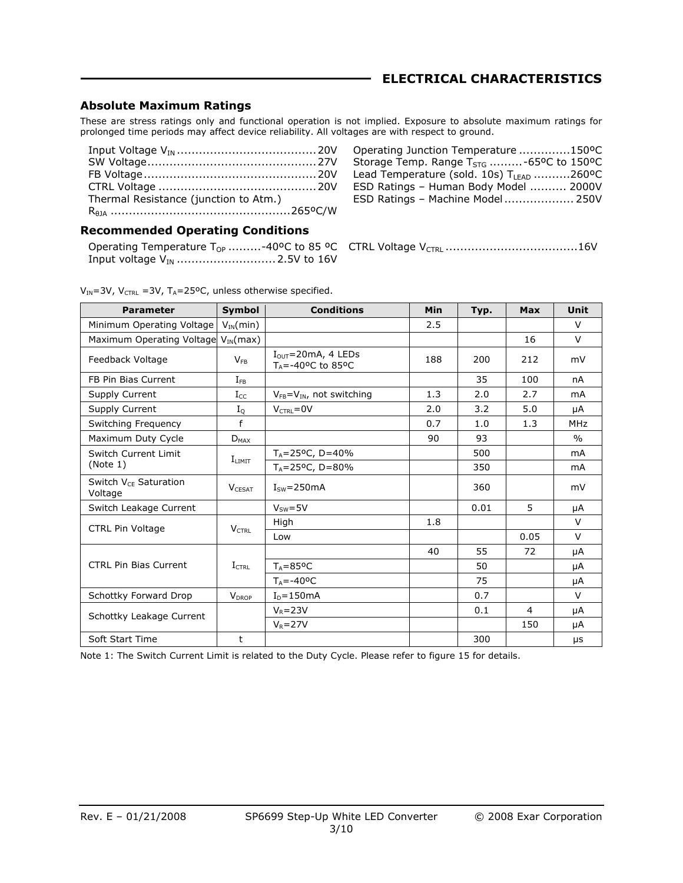### **ELECTRICAL CHARACTERISTICS**

#### **Absolute Maximum Ratings**

These are stress ratings only and functional operation is not implied. Exposure to absolute maximum ratings for prolonged time periods may affect device reliability. All voltages are with respect to ground.

| Thermal Resistance (junction to Atm.) |  |
|---------------------------------------|--|
|                                       |  |

| Operating Junction Temperature 150°C                 |  |
|------------------------------------------------------|--|
| Storage Temp. Range $T_{STG}$ -65°C to 150°C         |  |
| Lead Temperature (sold. 10s) T <sub>LEAD</sub> 260°C |  |
| ESD Ratings - Human Body Model  2000V                |  |
| ESD Ratings - Machine Model 250V                     |  |

#### **Recommended Operating Conditions**

| Operating Temperature $T_{OP}$ -40°C to 85 °C CTRL Vo |  |
|-------------------------------------------------------|--|
|                                                       |  |

|--|--|--|

| $V_{IN}$ =3V, V <sub>CTRL</sub> =3V, T <sub>A</sub> =25°C, unless otherwise specified. |  |
|----------------------------------------------------------------------------------------|--|
|----------------------------------------------------------------------------------------|--|

| <b>Parameter</b>                             | <b>Symbol</b>     | <b>Conditions</b>                                                          | Min | Typ.                                | <b>Max</b> | <b>Unit</b>   |
|----------------------------------------------|-------------------|----------------------------------------------------------------------------|-----|-------------------------------------|------------|---------------|
| Minimum Operating Voltage                    | $V_{IN}(min)$     |                                                                            | 2.5 |                                     |            | $\vee$        |
| Maximum Operating Voltage                    | $V_{IN}(max)$     |                                                                            |     |                                     | 16         | $\vee$        |
| Feedback Voltage                             | $V_{FB}$          | $I_{OUT}$ =20mA, 4 LEDs<br>$T_A = -40$ <sup>o</sup> C to 85 <sup>o</sup> C | 188 | 200                                 | 212        | mV            |
| FB Pin Bias Current                          | $I_{FR}$          |                                                                            |     | 35                                  | 100        | nA            |
| Supply Current                               | $\rm I_{CC}$      | $V_{FB} = V_{IN}$ , not switching                                          | 1.3 | 2.0                                 | 2.7        | mA            |
| Supply Current                               | $I_{\mathrm{Q}}$  | $V_{CTRL} = 0V$                                                            | 2.0 | 3.2                                 | 5.0        | μA            |
| Switching Frequency                          | f                 |                                                                            | 0.7 | 1.0                                 | 1.3        | <b>MHz</b>    |
| Maximum Duty Cycle                           | $D_{MAX}$         |                                                                            | 90  | 93                                  |            | $\frac{0}{0}$ |
| Switch Current Limit                         |                   | $T_A = 25^{\circ}C$ , D=40%                                                |     | 500                                 |            | mA            |
| (Note 1)                                     | $I_{LIMIT}$       | $T_A = 25^{\circ}C$ , D=80%                                                |     | 350                                 |            | mA            |
| Switch V <sub>CE</sub> Saturation<br>Voltage | <b>VCESAT</b>     | $ISW=250mA$                                                                |     | 360                                 |            | mV            |
| Switch Leakage Current                       |                   | $Vsw=5V$                                                                   |     | 0.01                                | 5          | μA            |
| <b>CTRL Pin Voltage</b>                      |                   | High                                                                       | 1.8 | 55<br>50<br>75<br>0.7<br>0.1<br>300 |            | $\vee$        |
|                                              | $V_{\text{CTRL}}$ | Low                                                                        |     |                                     | 0.05       | $\vee$        |
|                                              |                   |                                                                            | 40  |                                     | 72         | μA            |
| <b>CTRL Pin Bias Current</b>                 | $I_{CTRL}$        | $T_A = 85$ <sup>o</sup> C                                                  |     |                                     |            | μA            |
|                                              |                   | $T_{\text{A}} = -40^{\circ}C$                                              |     |                                     |            | μA            |
| Schottky Forward Drop                        | $V_{DROP}$        | $ID=150mA$                                                                 |     |                                     |            | $\vee$        |
|                                              |                   | $V_R = 23V$                                                                |     |                                     | 4          | μA            |
| Schottky Leakage Current<br>$V_R = 27V$      |                   |                                                                            |     |                                     | 150        | μA            |
| Soft Start Time                              | t                 |                                                                            |     |                                     |            | μs            |

Note 1: The Switch Current Limit is related to the Duty Cycle. Please refer to figure 15 for details.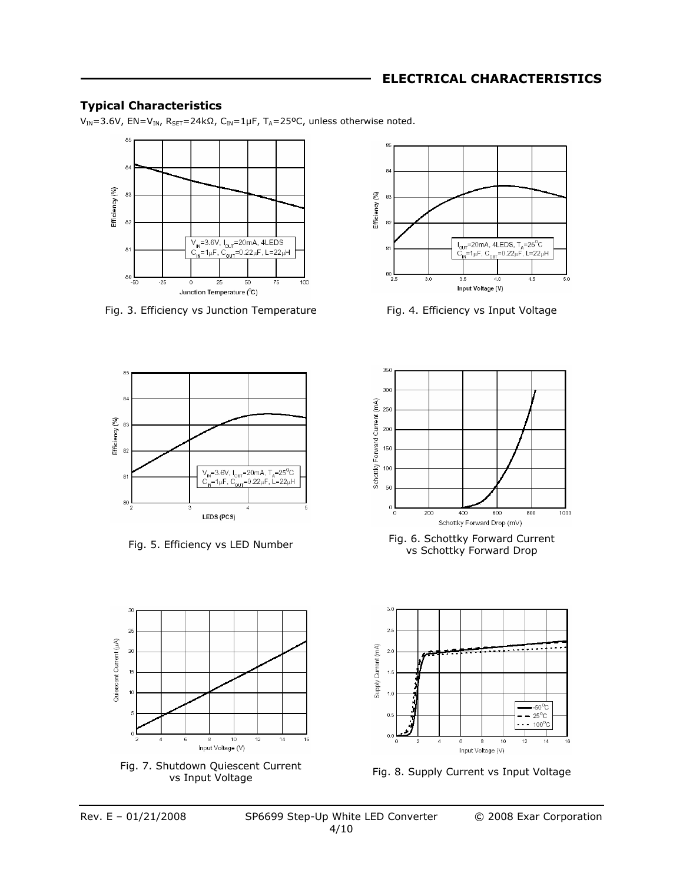## **ELECTRICAL CHARACTERISTICS**

#### **Typical Characteristics**

V<sub>IN</sub>=3.6V, EN=V<sub>IN</sub>, R<sub>SET</sub>=24kΩ, C<sub>IN</sub>=1µF, T<sub>A</sub>=25°C, unless otherwise noted.



Fig. 3. Efficiency vs Junction Temperature Fig. 4. Efficiency vs Input Voltage





Fig. 7. Shutdown Quiescent Current

8

 $10$ 

Input Voltage (V)

 $12$ 

 $14$ 

 $\frac{1}{16}$ 



Fig. 5. Efficiency vs LED Number Fig. 6. Schottky Forward Current vs Schottky Forward Drop



ididiown Quiescent Current<br>
Fig. 8. Supply Current vs Input Voltage<br>
vs Input Voltage

 $3<sup>0</sup>$  $\overline{a}$ 

 $20$ 

 $15$ 

 $\overline{10}$ 

Quiescent Current (uA)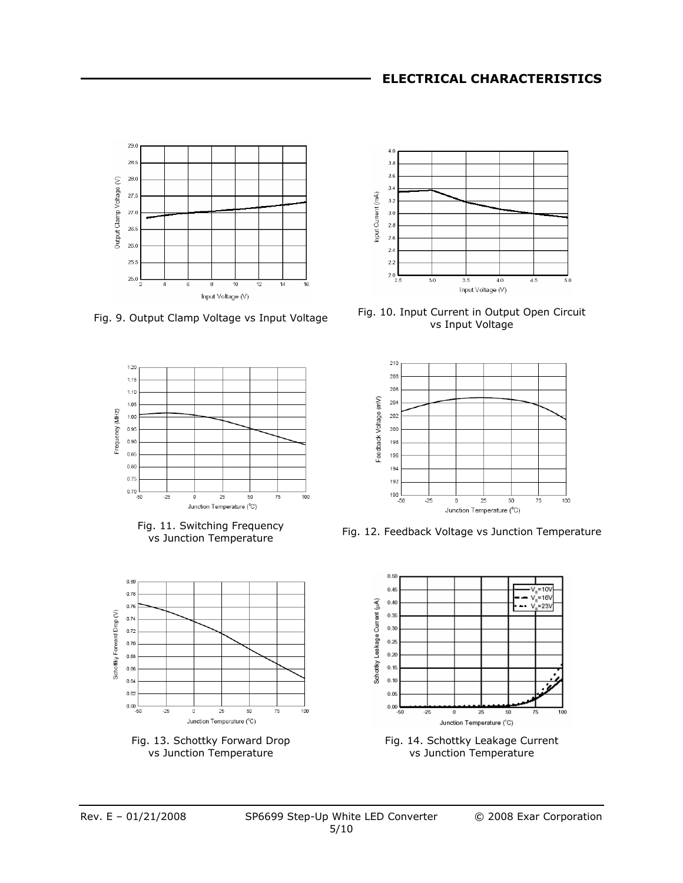



Fig. 11. Switching Frequency







Fig. 9. Output Clamp Voltage vs Input Voltage Fig. 10. Input Current in Output Open Circuit vs Input Voltage



y. 11. Switching Frequency<br>vs Junction Temperature Fig. 12. Feedback Voltage vs Junction Temperature



Fig. 14. Schottky Leakage Current vs Junction Temperature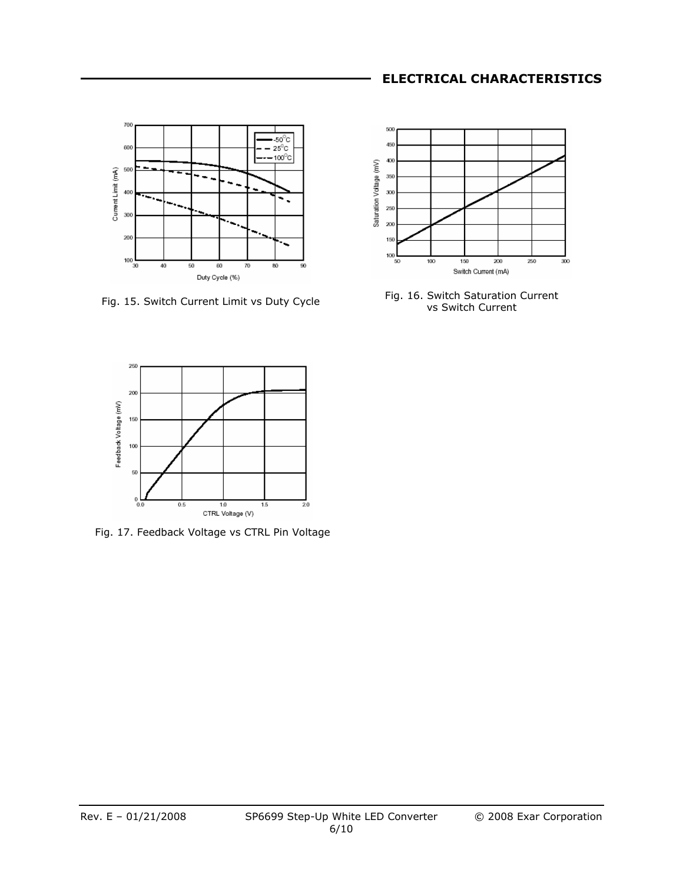## **ELECTRICAL CHARACTERISTICS**









Fig. 17. Feedback Voltage vs CTRL Pin Voltage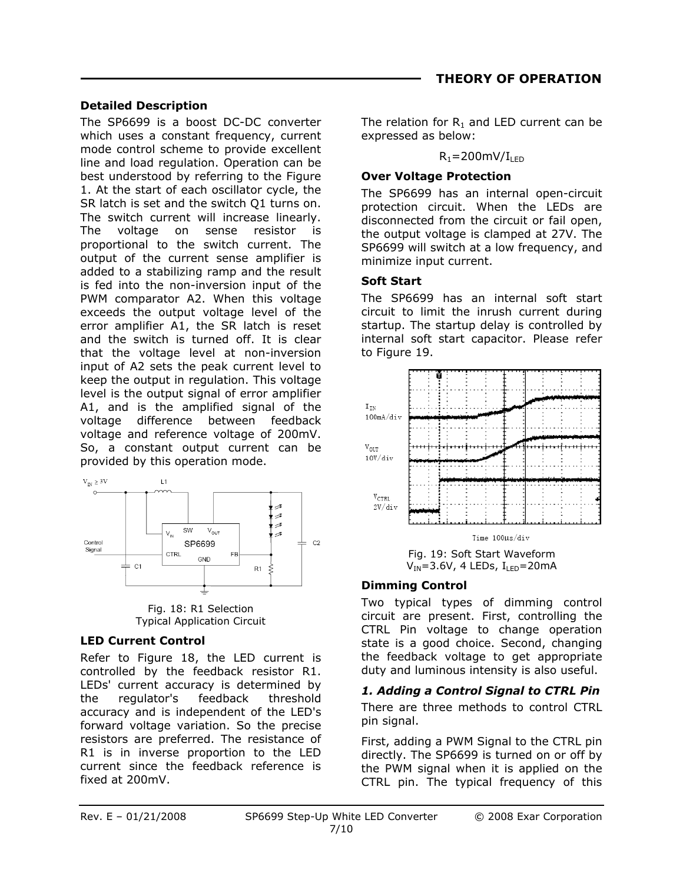#### **Detailed Description**

The SP6699 is a boost DC-DC converter which uses a constant frequency, current mode control scheme to provide excellent line and load regulation. Operation can be best understood by referring to the Figure 1. At the start of each oscillator cycle, the SR latch is set and the switch Q1 turns on. The switch current will increase linearly. The voltage on sense resistor is proportional to the switch current. The output of the current sense amplifier is added to a stabilizing ramp and the result is fed into the non-inversion input of the PWM comparator A2. When this voltage exceeds the output voltage level of the error amplifier A1, the SR latch is reset and the switch is turned off. It is clear that the voltage level at non-inversion input of A2 sets the peak current level to keep the output in regulation. This voltage level is the output signal of error amplifier A1, and is the amplified signal of the voltage difference between feedback voltage and reference voltage of 200mV. So, a constant output current can be provided by this operation mode.



Fig. 18: R1 Selection Typical Application Circuit

## **LED Current Control**

Refer to Figure 18, the LED current is controlled by the feedback resistor R1. LEDs' current accuracy is determined by the regulator's feedback threshold accuracy and is independent of the LED's forward voltage variation. So the precise resistors are preferred. The resistance of R1 is in inverse proportion to the LED current since the feedback reference is fixed at 200mV.

The relation for  $R_1$  and LED current can be expressed as below:

#### $R_1 = 200$ mV/I<sub>LED</sub>

#### **Over Voltage Protection**

The SP6699 has an internal open-circuit protection circuit. When the LEDs are disconnected from the circuit or fail open, the output voltage is clamped at 27V. The SP6699 will switch at a low frequency, and minimize input current.

### **Soft Start**

The SP6699 has an internal soft start circuit to limit the inrush current during startup. The startup delay is controlled by internal soft start capacitor. Please refer to Figure 19.



Fig. 19: Soft Start Waveform  $V_{IN}$ =3.6V, 4 LEDs,  $I_{LED}$ =20mA

## **Dimming Control**

Two typical types of dimming control circuit are present. First, controlling the CTRL Pin voltage to change operation state is a good choice. Second, changing the feedback voltage to get appropriate duty and luminous intensity is also useful.

*1. Adding a Control Signal to CTRL Pin*  There are three methods to control CTRL pin signal.

First, adding a PWM Signal to the CTRL pin directly. The SP6699 is turned on or off by the PWM signal when it is applied on the CTRL pin. The typical frequency of this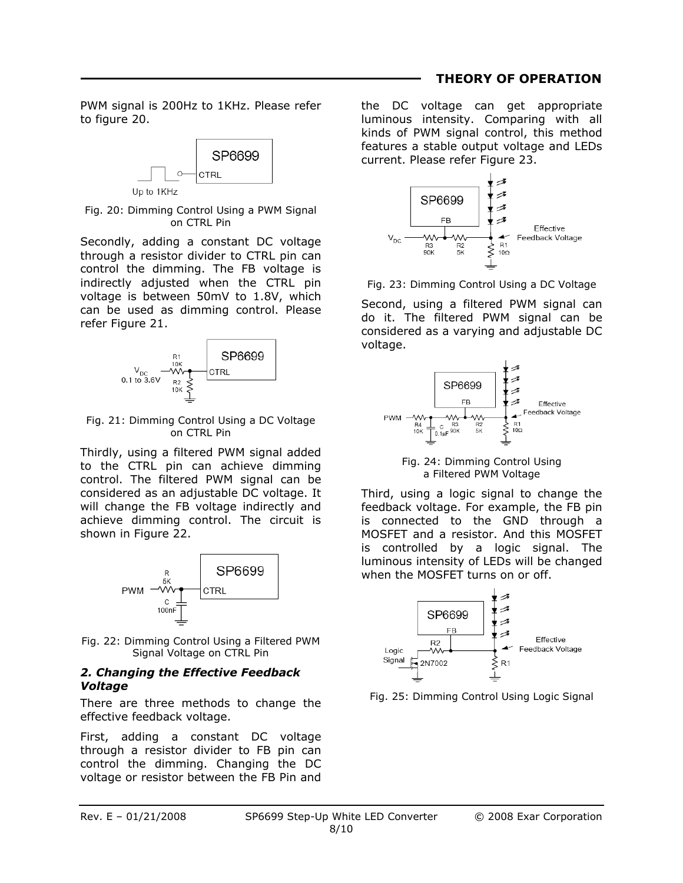#### **THEORY OF OPERATION**

PWM signal is 200Hz to 1KHz. Please refer to figure 20.



Fig. 20: Dimming Control Using a PWM Signal on CTRL Pin

Secondly, adding a constant DC voltage through a resistor divider to CTRL pin can control the dimming. The FB voltage is indirectly adjusted when the CTRL pin voltage is between 50mV to 1.8V, which can be used as dimming control. Please refer Figure 21.



Fig. 21: Dimming Control Using a DC Voltage on CTRL Pin

Thirdly, using a filtered PWM signal added to the CTRL pin can achieve dimming control. The filtered PWM signal can be considered as an adjustable DC voltage. It will change the FB voltage indirectly and achieve dimming control. The circuit is shown in Figure 22.



Fig. 22: Dimming Control Using a Filtered PWM Signal Voltage on CTRL Pin

#### *2. Changing the Effective Feedback Voltage*

There are three methods to change the effective feedback voltage.

First, adding a constant DC voltage through a resistor divider to FB pin can control the dimming. Changing the DC voltage or resistor between the FB Pin and the DC voltage can get appropriate luminous intensity. Comparing with all kinds of PWM signal control, this method features a stable output voltage and LEDs current. Please refer Figure 23.



Fig. 23: Dimming Control Using a DC Voltage

Second, using a filtered PWM signal can do it. The filtered PWM signal can be considered as a varying and adjustable DC voltage.



Fig. 24: Dimming Control Using a Filtered PWM Voltage

Third, using a logic signal to change the feedback voltage. For example, the FB pin is connected to the GND through a MOSFET and a resistor. And this MOSFET is controlled by a logic signal. The luminous intensity of LEDs will be changed when the MOSFET turns on or off.



Fig. 25: Dimming Control Using Logic Signal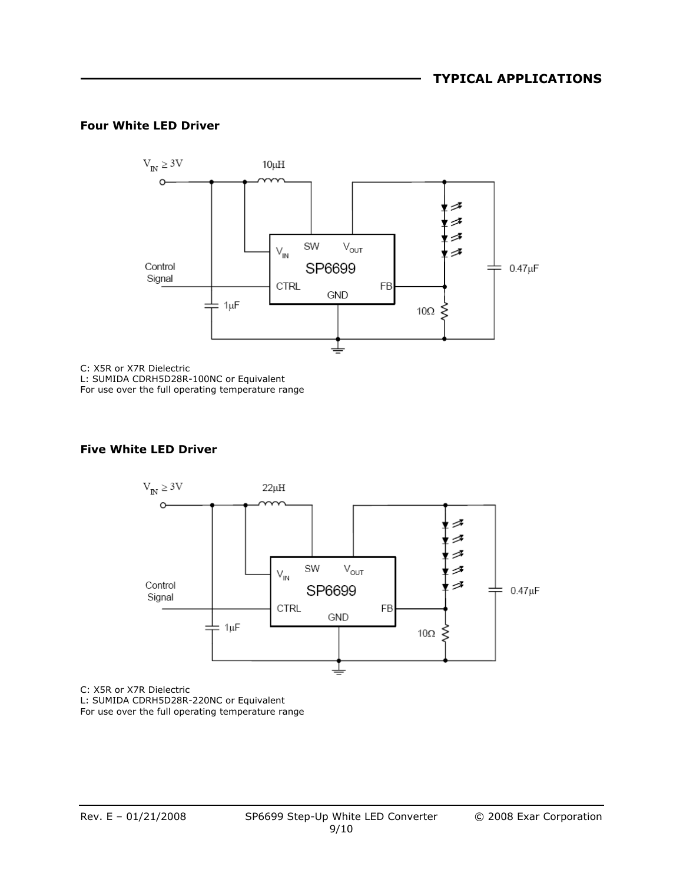#### **Four White LED Driver**



C: X5R or X7R Dielectric

L: SUMIDA CDRH5D28R-100NC or Equivalent

For use over the full operating temperature range

#### **Five White LED Driver**



C: X5R or X7R Dielectric L: SUMIDA CDRH5D28R-220NC or Equivalent For use over the full operating temperature range